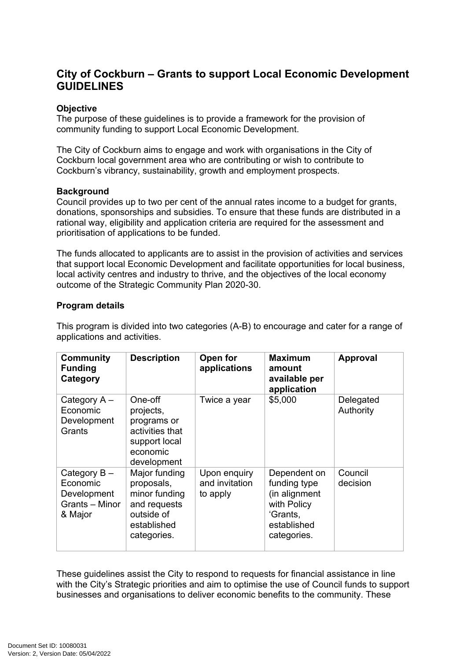# **City of Cockburn – Grants to support Local Economic Development GUIDELINES**

### **Objective**

The purpose of these guidelines is to provide a framework for the provision of community funding to support Local Economic Development.

The City of Cockburn aims to engage and work with organisations in the City of Cockburn local government area who are contributing or wish to contribute to Cockburn's vibrancy, sustainability, growth and employment prospects.

#### **Background**

Council provides up to two per cent of the annual rates income to a budget for grants, donations, sponsorships and subsidies. To ensure that these funds are distributed in a rational way, eligibility and application criteria are required for the assessment and prioritisation of applications to be funded.

The funds allocated to applicants are to assist in the provision of activities and services that support local Economic Development and facilitate opportunities for local business, local activity centres and industry to thrive, and the objectives of the local economy outcome of the Strategic Community Plan 2020-30.

#### **Program details**

This program is divided into two categories (A-B) to encourage and cater for a range of applications and activities.

| <b>Community</b><br><b>Funding</b><br>Category                         | <b>Description</b>                                                                                       | Open for<br>applications                   | <b>Maximum</b><br>amount<br>available per<br>application                                               | <b>Approval</b>        |
|------------------------------------------------------------------------|----------------------------------------------------------------------------------------------------------|--------------------------------------------|--------------------------------------------------------------------------------------------------------|------------------------|
| Category $A -$<br>Economic<br>Development<br>Grants                    | One-off<br>projects,<br>programs or<br>activities that<br>support local<br>economic<br>development       | Twice a year                               | \$5,000                                                                                                | Delegated<br>Authority |
| Category $B -$<br>Economic<br>Development<br>Grants - Minor<br>& Major | Major funding<br>proposals,<br>minor funding<br>and requests<br>outside of<br>established<br>categories. | Upon enquiry<br>and invitation<br>to apply | Dependent on<br>funding type<br>(in alignment<br>with Policy<br>'Grants,<br>established<br>categories. | Council<br>decision    |

These guidelines assist the City to respond to requests for financial assistance in line with the City's Strategic priorities and aim to optimise the use of Council funds to support businesses and organisations to deliver economic benefits to the community. These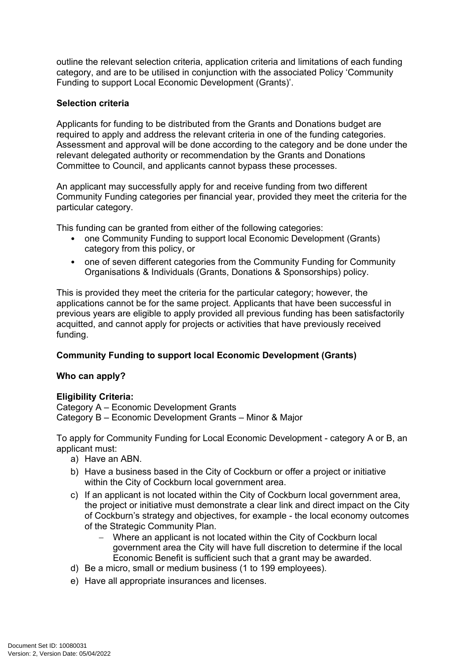outline the relevant selection criteria, application criteria and limitations of each funding category, and are to be utilised in conjunction with the associated Policy 'Community Funding to support Local Economic Development (Grants)'.

# **Selection criteria**

Applicants for funding to be distributed from the Grants and Donations budget are required to apply and address the relevant criteria in one of the funding categories. Assessment and approval will be done according to the category and be done under the relevant delegated authority or recommendation by the Grants and Donations Committee to Council, and applicants cannot bypass these processes.

An applicant may successfully apply for and receive funding from two different Community Funding categories per financial year, provided they meet the criteria for the particular category.

This funding can be granted from either of the following categories:

- one Community Funding to support local Economic Development (Grants) category from this policy, or
- one of seven different categories from the Community Funding for Community Organisations & Individuals (Grants, Donations & Sponsorships) policy.

This is provided they meet the criteria for the particular category; however, the applications cannot be for the same project. Applicants that have been successful in previous years are eligible to apply provided all previous funding has been satisfactorily acquitted, and cannot apply for projects or activities that have previously received funding.

### **Community Funding to support local Economic Development (Grants)**

### **Who can apply?**

### **Eligibility Criteria:**

Category A – Economic Development Grants Category B – Economic Development Grants – Minor & Major

To apply for Community Funding for Local Economic Development - category A or B, an applicant must:

- a) Have an ABN.
- b) Have a business based in the City of Cockburn or offer a project or initiative within the City of Cockburn local government area.
- c) If an applicant is not located within the City of Cockburn local government area, the project or initiative must demonstrate a clear link and direct impact on the City of Cockburn's strategy and objectives, for example - the local economy outcomes of the Strategic Community Plan.
	- Where an applicant is not located within the City of Cockburn local government area the City will have full discretion to determine if the local Economic Benefit is sufficient such that a grant may be awarded.
- d) Be a micro, small or medium business (1 to 199 employees).
- e) Have all appropriate insurances and licenses.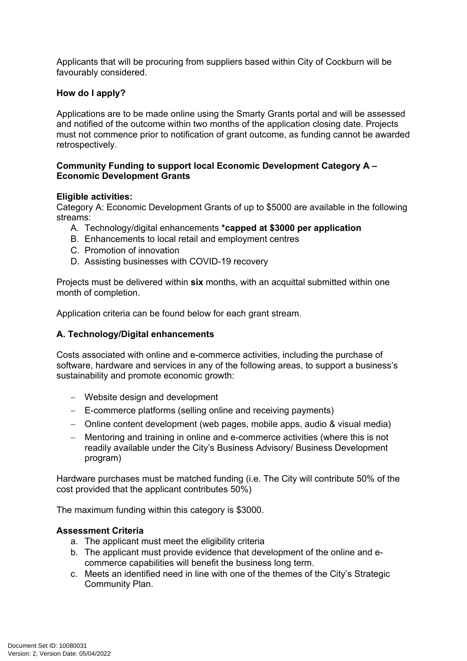Applicants that will be procuring from suppliers based within City of Cockburn will be favourably considered.

### **How do I apply?**

Applications are to be made online using the Smarty Grants portal and will be assessed and notified of the outcome within two months of the application closing date. Projects must not commence prior to notification of grant outcome, as funding cannot be awarded retrospectively.

#### **Community Funding to support local Economic Development Category A – Economic Development Grants**

#### **Eligible activities:**

Category A: Economic Development Grants of up to \$5000 are available in the following streams:

- A. Technology/digital enhancements **\*capped at \$3000 per application**
- B. Enhancements to local retail and employment centres
- C. Promotion of innovation
- D. Assisting businesses with COVID-19 recovery

Projects must be delivered within **six** months, with an acquittal submitted within one month of completion.

Application criteria can be found below for each grant stream.

### **A. Technology/Digital enhancements**

Costs associated with online and e-commerce activities, including the purchase of software, hardware and services in any of the following areas, to support a business's sustainability and promote economic growth:

- Website design and development
- E-commerce platforms (selling online and receiving payments)
- Online content development (web pages, mobile apps, audio & visual media)
- Mentoring and training in online and e-commerce activities (where this is not readily available under the City's Business Advisory/ Business Development program)

Hardware purchases must be matched funding (i.e. The City will contribute 50% of the cost provided that the applicant contributes 50%)

The maximum funding within this category is \$3000.

### **Assessment Criteria**

- a. The applicant must meet the eligibility criteria
- b. The applicant must provide evidence that development of the online and ecommerce capabilities will benefit the business long term.
- c. Meets an identified need in line with one of the themes of the City's Strategic Community Plan.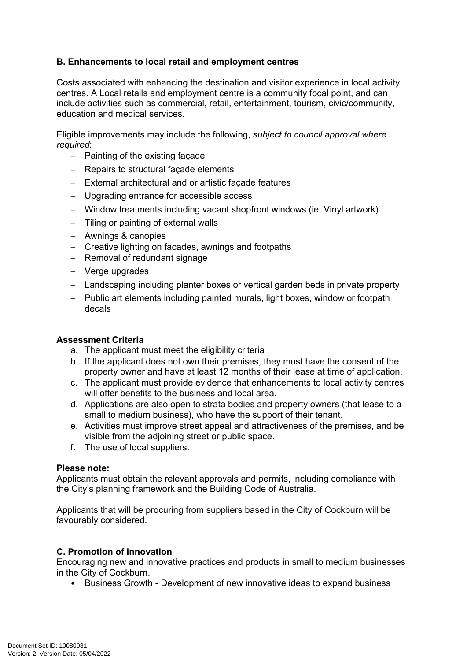# **B. Enhancements to local retail and employment centres**

Costs associated with enhancing the destination and visitor experience in local activity centres. A Local retails and employment centre is a community focal point, and can include activities such as commercial, retail, entertainment, tourism, civic/community, education and medical services.

Eligible improvements may include the following, *subject to council approval where required*:

- $-$  Painting of the existing facade
- Repairs to structural facade elements
- External architectural and or artistic façade features
- Upgrading entrance for accessible access
- Window treatments including vacant shopfront windows (ie. Vinyl artwork)
- $-$  Tiling or painting of external walls
- Awnings & canopies
- Creative lighting on facades, awnings and footpaths
- $-$  Removal of redundant signage
- Verge upgrades
- Landscaping including planter boxes or vertical garden beds in private property
- Public art elements including painted murals, light boxes, window or footpath decals

### **Assessment Criteria**

- a. The applicant must meet the eligibility criteria
- b. If the applicant does not own their premises, they must have the consent of the property owner and have at least 12 months of their lease at time of application.
- c. The applicant must provide evidence that enhancements to local activity centres will offer benefits to the business and local area.
- d. Applications are also open to strata bodies and property owners (that lease to a small to medium business), who have the support of their tenant.
- e. Activities must improve street appeal and attractiveness of the premises, and be visible from the adjoining street or public space.
- f. The use of local suppliers.

### **Please note:**

Applicants must obtain the relevant approvals and permits, including compliance with the City's planning framework and the Building Code of Australia.

Applicants that will be procuring from suppliers based in the City of Cockburn will be favourably considered.

### **C. Promotion of innovation**

Encouraging new and innovative practices and products in small to medium businesses in the City of Cockburn.

• Business Growth - Development of new innovative ideas to expand business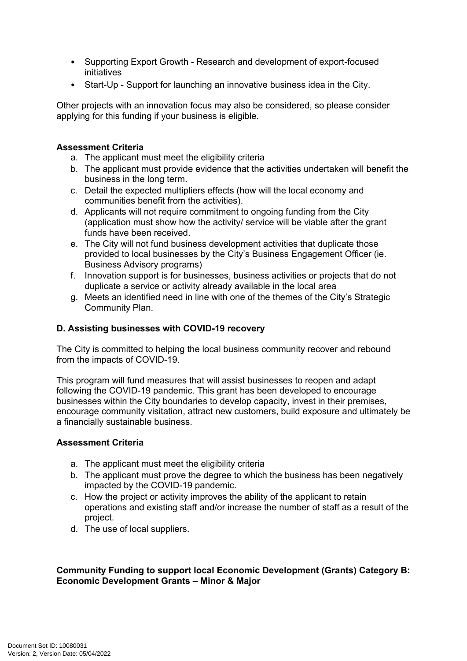- Supporting Export Growth Research and development of export-focused initiatives
- Start-Up Support for launching an innovative business idea in the City.

Other projects with an innovation focus may also be considered, so please consider applying for this funding if your business is eligible.

### **Assessment Criteria**

- a. The applicant must meet the eligibility criteria
- b. The applicant must provide evidence that the activities undertaken will benefit the business in the long term.
- c. Detail the expected multipliers effects (how will the local economy and communities benefit from the activities).
- d. Applicants will not require commitment to ongoing funding from the City (application must show how the activity/ service will be viable after the grant funds have been received.
- e. The City will not fund business development activities that duplicate those provided to local businesses by the City's Business Engagement Officer (ie. Business Advisory programs)
- f. Innovation support is for businesses, business activities or projects that do not duplicate a service or activity already available in the local area
- g. Meets an identified need in line with one of the themes of the City's Strategic Community Plan.

# **D. Assisting businesses with COVID-19 recovery**

The City is committed to helping the local business community recover and rebound from the impacts of COVID-19.

This program will fund measures that will assist businesses to reopen and adapt following the COVID-19 pandemic. This grant has been developed to encourage businesses within the City boundaries to develop capacity, invest in their premises, encourage community visitation, attract new customers, build exposure and ultimately be a financially sustainable business.

### **Assessment Criteria**

- a. The applicant must meet the eligibility criteria
- b. The applicant must prove the degree to which the business has been negatively impacted by the COVID-19 pandemic.
- c. How the project or activity improves the ability of the applicant to retain operations and existing staff and/or increase the number of staff as a result of the project.
- d. The use of local suppliers.

### **Community Funding to support local Economic Development (Grants) Category B: Economic Development Grants – Minor & Major**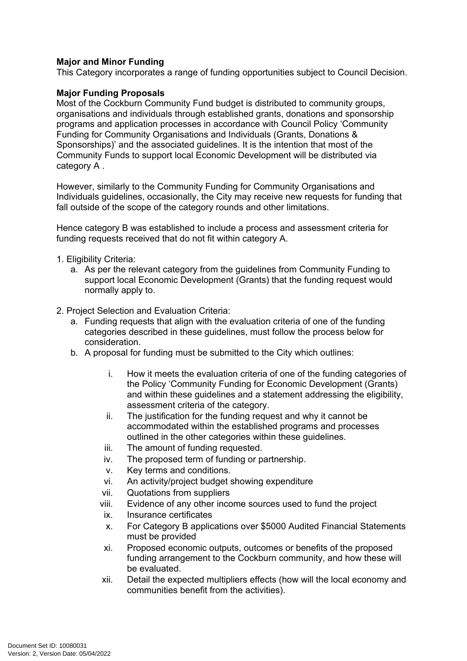### **Major and Minor Funding**

This Category incorporates a range of funding opportunities subject to Council Decision.

### **Major Funding Proposals**

Most of the Cockburn Community Fund budget is distributed to community groups, organisations and individuals through established grants, donations and sponsorship programs and application processes in accordance with Council Policy 'Community Funding for Community Organisations and Individuals (Grants, Donations & Sponsorships)' and the associated guidelines. It is the intention that most of the Community Funds to support local Economic Development will be distributed via category A .

However, similarly to the Community Funding for Community Organisations and Individuals guidelines, occasionally, the City may receive new requests for funding that fall outside of the scope of the category rounds and other limitations.

Hence category B was established to include a process and assessment criteria for funding requests received that do not fit within category A.

- 1. Eligibility Criteria:
	- a. As per the relevant category from the guidelines from Community Funding to support local Economic Development (Grants) that the funding request would normally apply to.
- 2. Project Selection and Evaluation Criteria:
	- a. Funding requests that align with the evaluation criteria of one of the funding categories described in these guidelines, must follow the process below for consideration.
	- b. A proposal for funding must be submitted to the City which outlines:
		- i. How it meets the evaluation criteria of one of the funding categories of the Policy 'Community Funding for Economic Development (Grants) and within these guidelines and a statement addressing the eligibility, assessment criteria of the category.
		- ii. The justification for the funding request and why it cannot be accommodated within the established programs and processes outlined in the other categories within these guidelines.
		- iii. The amount of funding requested.
		- iv. The proposed term of funding or partnership.
		- v. Key terms and conditions.
		- vi. An activity/project budget showing expenditure
		- vii. Quotations from suppliers
		- viii. Evidence of any other income sources used to fund the project
		- ix. Insurance certificates
		- x. For Category B applications over \$5000 Audited Financial Statements must be provided
		- xi. Proposed economic outputs, outcomes or benefits of the proposed funding arrangement to the Cockburn community, and how these will be evaluated.
		- xii. Detail the expected multipliers effects (how will the local economy and communities benefit from the activities).